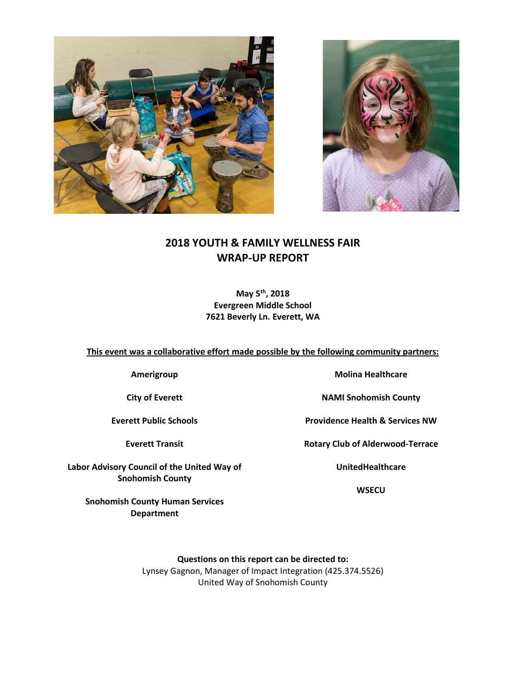



## **2018 YOUTH & FAMILY WELLNESS FAIR WRAP-UP REPORT**

**May 5th, 2018 Evergreen Middle School 7621 Beverly Ln. Everett, WA** 

**This event was a collaborative effort made possible by the following community partners:**

**Amerigroup**

**City of Everett**

**Everett Public Schools**

**Everett Transit**

**Labor Advisory Council of the United Way of Snohomish County** 

> **Snohomish County Human Services Department**

**Molina Healthcare**

**NAMI Snohomish County**

**Providence Health & Services NW**

**Rotary Club of Alderwood-Terrace**

**UnitedHealthcare**

**WSECU**

**Questions on this report can be directed to:** Lynsey Gagnon, Manager of Impact Integration (425.374.5526) United Way of Snohomish County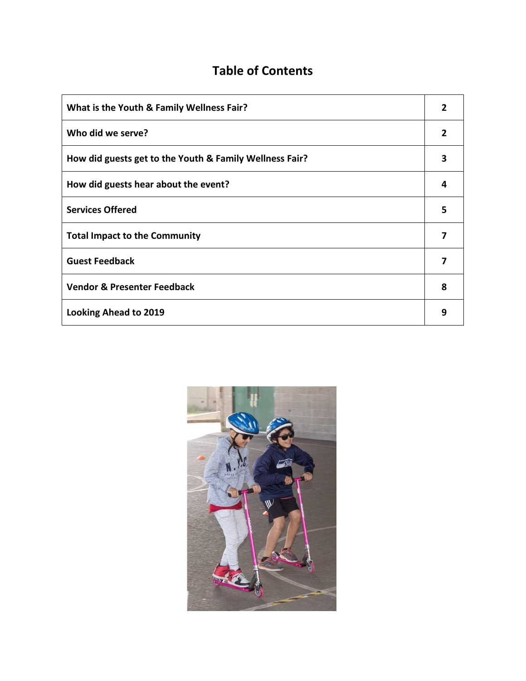# **Table of Contents**

| What is the Youth & Family Wellness Fair?               |              |
|---------------------------------------------------------|--------------|
| Who did we serve?                                       | $\mathbf{2}$ |
| How did guests get to the Youth & Family Wellness Fair? | 3            |
| How did guests hear about the event?                    | Δ            |
| <b>Services Offered</b>                                 | 5            |
| <b>Total Impact to the Community</b>                    |              |
| <b>Guest Feedback</b>                                   |              |
| <b>Vendor &amp; Presenter Feedback</b>                  | 8            |
| <b>Looking Ahead to 2019</b>                            | 9            |

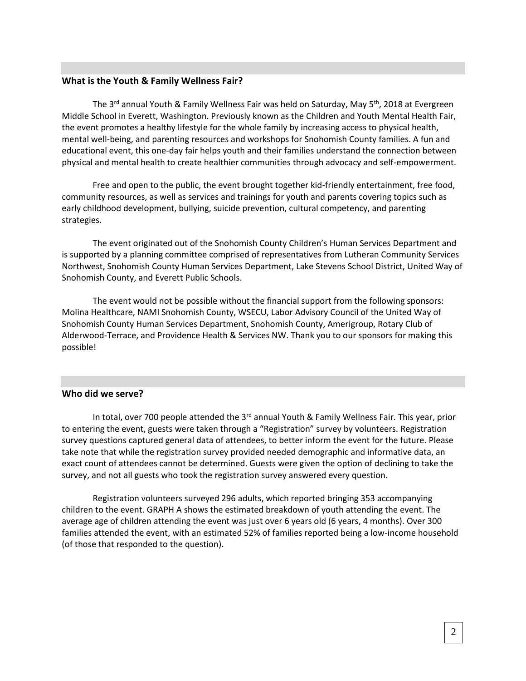#### **What is the Youth & Family Wellness Fair?**

The 3<sup>rd</sup> annual Youth & Family Wellness Fair was held on Saturday, May 5<sup>th</sup>, 2018 at Evergreen Middle School in Everett, Washington. Previously known as the Children and Youth Mental Health Fair, the event promotes a healthy lifestyle for the whole family by increasing access to physical health, mental well-being, and parenting resources and workshops for Snohomish County families. A fun and educational event, this one-day fair helps youth and their families understand the connection between physical and mental health to create healthier communities through advocacy and self-empowerment.

Free and open to the public, the event brought together kid-friendly entertainment, free food, community resources, as well as services and trainings for youth and parents covering topics such as early childhood development, bullying, suicide prevention, cultural competency, and parenting strategies.

The event originated out of the Snohomish County Children's Human Services Department and is supported by a planning committee comprised of representatives from Lutheran Community Services Northwest, Snohomish County Human Services Department, Lake Stevens School District, United Way of Snohomish County, and Everett Public Schools.

The event would not be possible without the financial support from the following sponsors: Molina Healthcare, NAMI Snohomish County, WSECU, Labor Advisory Council of the United Way of Snohomish County Human Services Department, Snohomish County, Amerigroup, Rotary Club of Alderwood-Terrace, and Providence Health & Services NW. Thank you to our sponsors for making this possible!

## **Who did we serve?**

In total, over 700 people attended the  $3<sup>rd</sup>$  annual Youth & Family Wellness Fair. This year, prior to entering the event, guests were taken through a "Registration" survey by volunteers. Registration survey questions captured general data of attendees, to better inform the event for the future. Please take note that while the registration survey provided needed demographic and informative data, an exact count of attendees cannot be determined. Guests were given the option of declining to take the survey, and not all guests who took the registration survey answered every question.

Registration volunteers surveyed 296 adults, which reported bringing 353 accompanying children to the event. GRAPH A shows the estimated breakdown of youth attending the event. The average age of children attending the event was just over 6 years old (6 years, 4 months). Over 300 families attended the event, with an estimated 52% of families reported being a low-income household (of those that responded to the question).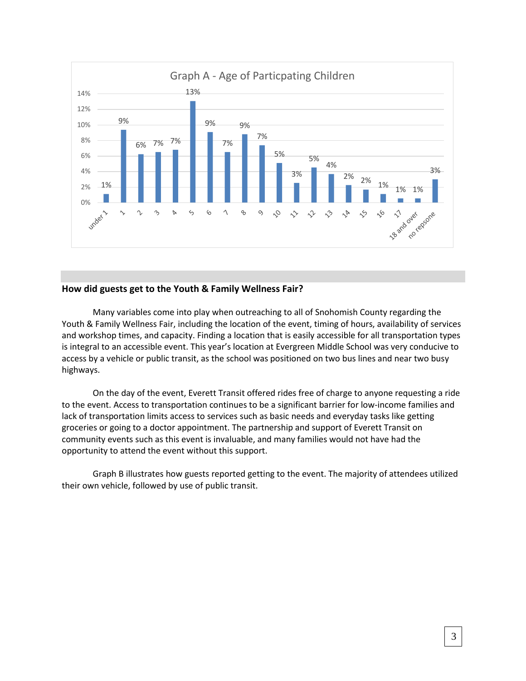

## **How did guests get to the Youth & Family Wellness Fair?**

Many variables come into play when outreaching to all of Snohomish County regarding the Youth & Family Wellness Fair, including the location of the event, timing of hours, availability of services and workshop times, and capacity. Finding a location that is easily accessible for all transportation types is integral to an accessible event. This year's location at Evergreen Middle School was very conducive to access by a vehicle or public transit, as the school was positioned on two bus lines and near two busy highways.

On the day of the event, Everett Transit offered rides free of charge to anyone requesting a ride to the event. Access to transportation continues to be a significant barrier for low-income families and lack of transportation limits access to services such as basic needs and everyday tasks like getting groceries or going to a doctor appointment. The partnership and support of Everett Transit on community events such as this event is invaluable, and many families would not have had the opportunity to attend the event without this support.

Graph B illustrates how guests reported getting to the event. The majority of attendees utilized their own vehicle, followed by use of public transit.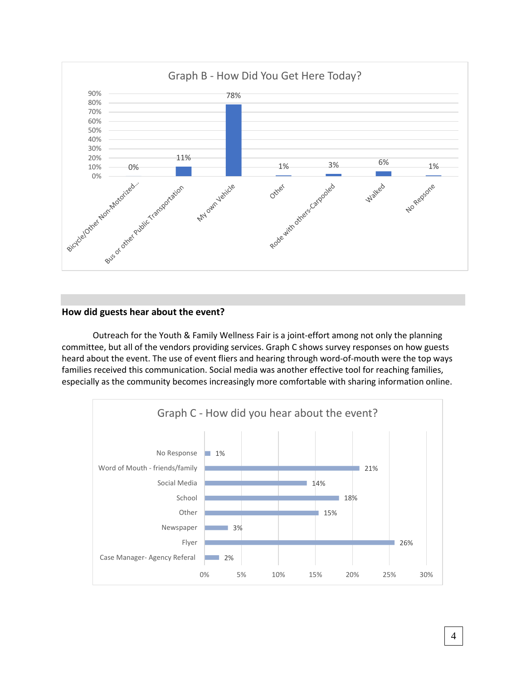

## **How did guests hear about the event?**

Outreach for the Youth & Family Wellness Fair is a joint-effort among not only the planning committee, but all of the vendors providing services. Graph C shows survey responses on how guests heard about the event. The use of event fliers and hearing through word-of-mouth were the top ways families received this communication. Social media was another effective tool for reaching families, especially as the community becomes increasingly more comfortable with sharing information online.

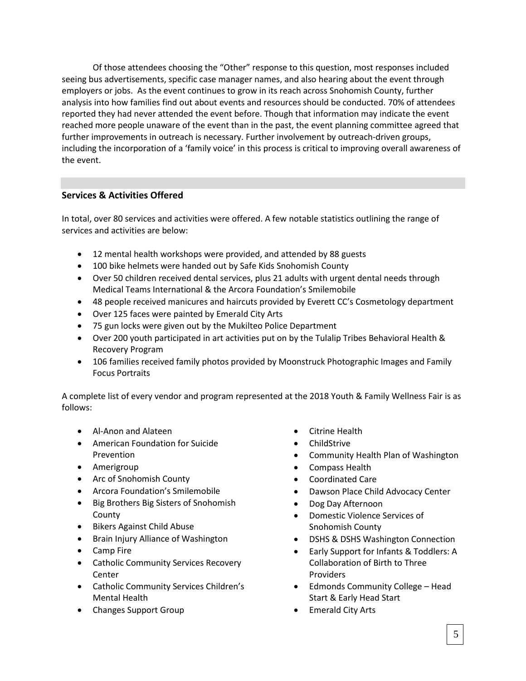Of those attendees choosing the "Other" response to this question, most responses included seeing bus advertisements, specific case manager names, and also hearing about the event through employers or jobs. As the event continues to grow in its reach across Snohomish County, further analysis into how families find out about events and resources should be conducted. 70% of attendees reported they had never attended the event before. Though that information may indicate the event reached more people unaware of the event than in the past, the event planning committee agreed that further improvements in outreach is necessary. Further involvement by outreach-driven groups, including the incorporation of a 'family voice' in this process is critical to improving overall awareness of the event.

## **Services & Activities Offered**

In total, over 80 services and activities were offered. A few notable statistics outlining the range of services and activities are below:

- 12 mental health workshops were provided, and attended by 88 guests
- 100 bike helmets were handed out by Safe Kids Snohomish County
- Over 50 children received dental services, plus 21 adults with urgent dental needs through Medical Teams International & the Arcora Foundation's Smilemobile
- 48 people received manicures and haircuts provided by Everett CC's Cosmetology department
- Over 125 faces were painted by Emerald City Arts
- 75 gun locks were given out by the Mukilteo Police Department
- Over 200 youth participated in art activities put on by the Tulalip Tribes Behavioral Health & Recovery Program
- 106 families received family photos provided by Moonstruck Photographic Images and Family Focus Portraits

A complete list of every vendor and program represented at the 2018 Youth & Family Wellness Fair is as follows:

- Al-Anon and Alateen
- American Foundation for Suicide Prevention
- Amerigroup
- Arc of Snohomish County
- Arcora Foundation's Smilemobile
- Big Brothers Big Sisters of Snohomish County
- Bikers Against Child Abuse
- Brain Injury Alliance of Washington
- Camp Fire
- **•** Catholic Community Services Recovery Center
- Catholic Community Services Children's Mental Health
- Changes Support Group
- Citrine Health
- ChildStrive
- Community Health Plan of Washington
- Compass Health
- Coordinated Care
- Dawson Place Child Advocacy Center
- Dog Day Afternoon
- Domestic Violence Services of Snohomish County
- DSHS & DSHS Washington Connection
- Early Support for Infants & Toddlers: A Collaboration of Birth to Three Providers
- Edmonds Community College Head Start & Early Head Start
- Emerald City Arts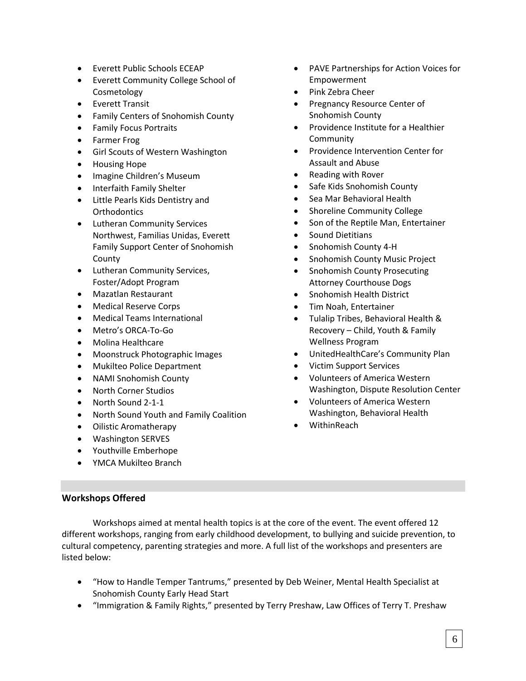- Everett Public Schools ECEAP
- Everett Community College School of Cosmetology
- Everett Transit
- Family Centers of Snohomish County
- **•** Family Focus Portraits
- Farmer Frog
- **•** Girl Scouts of Western Washington
- Housing Hope
- Imagine Children's Museum
- Interfaith Family Shelter
- Little Pearls Kids Dentistry and **Orthodontics**
- Lutheran Community Services Northwest, Familias Unidas, Everett Family Support Center of Snohomish County
- Lutheran Community Services, Foster/Adopt Program
- Mazatlan Restaurant
- Medical Reserve Corps
- Medical Teams International
- Metro's ORCA-To-Go
- Molina Healthcare
- Moonstruck Photographic Images
- Mukilteo Police Department
- NAMI Snohomish County
- North Corner Studios
- North Sound 2-1-1
- North Sound Youth and Family Coalition
- Oilistic Aromatherapy
- Washington SERVES
- Youthville Emberhope
- YMCA Mukilteo Branch
- PAVE Partnerships for Action Voices for Empowerment
- Pink Zebra Cheer
- Pregnancy Resource Center of Snohomish County
- Providence Institute for a Healthier Community
- Providence Intervention Center for Assault and Abuse
- Reading with Rover
- Safe Kids Snohomish County
- Sea Mar Behavioral Health
- Shoreline Community College
- Son of the Reptile Man, Entertainer
- Sound Dietitians
- Snohomish County 4-H
- Snohomish County Music Project
- Snohomish County Prosecuting Attorney Courthouse Dogs
- Snohomish Health District
- Tim Noah, Entertainer
- Tulalip Tribes, Behavioral Health & Recovery – Child, Youth & Family Wellness Program
- UnitedHealthCare's Community Plan
- Victim Support Services
- Volunteers of America Western Washington, Dispute Resolution Center
- Volunteers of America Western Washington, Behavioral Health
- WithinReach

## **Workshops Offered**

Workshops aimed at mental health topics is at the core of the event. The event offered 12 different workshops, ranging from early childhood development, to bullying and suicide prevention, to cultural competency, parenting strategies and more. A full list of the workshops and presenters are listed below:

- "How to Handle Temper Tantrums," presented by Deb Weiner, Mental Health Specialist at Snohomish County Early Head Start
- "Immigration & Family Rights," presented by Terry Preshaw, Law Offices of Terry T. Preshaw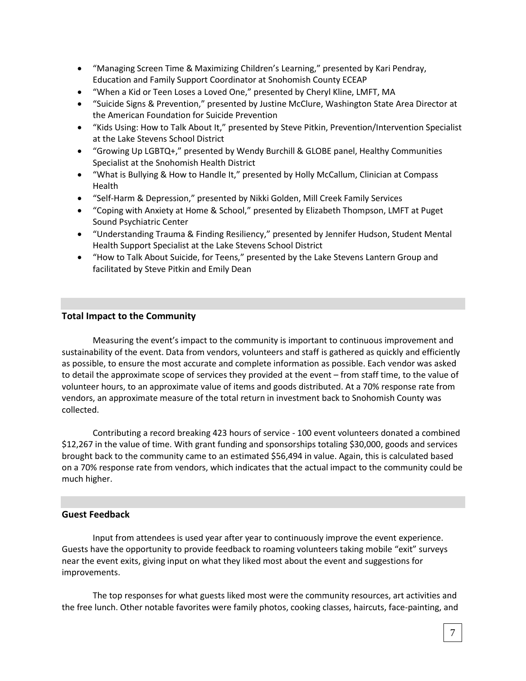- "Managing Screen Time & Maximizing Children's Learning," presented by Kari Pendray, Education and Family Support Coordinator at Snohomish County ECEAP
- "When a Kid or Teen Loses a Loved One," presented by Cheryl Kline, LMFT, MA
- "Suicide Signs & Prevention," presented by Justine McClure, Washington State Area Director at the American Foundation for Suicide Prevention
- "Kids Using: How to Talk About It," presented by Steve Pitkin, Prevention/Intervention Specialist at the Lake Stevens School District
- "Growing Up LGBTQ+," presented by Wendy Burchill & GLOBE panel, Healthy Communities Specialist at the Snohomish Health District
- "What is Bullying & How to Handle It," presented by Holly McCallum, Clinician at Compass Health
- "Self-Harm & Depression," presented by Nikki Golden, Mill Creek Family Services
- "Coping with Anxiety at Home & School," presented by Elizabeth Thompson, LMFT at Puget Sound Psychiatric Center
- "Understanding Trauma & Finding Resiliency," presented by Jennifer Hudson, Student Mental Health Support Specialist at the Lake Stevens School District
- "How to Talk About Suicide, for Teens," presented by the Lake Stevens Lantern Group and facilitated by Steve Pitkin and Emily Dean

## **Total Impact to the Community**

Measuring the event's impact to the community is important to continuous improvement and sustainability of the event. Data from vendors, volunteers and staff is gathered as quickly and efficiently as possible, to ensure the most accurate and complete information as possible. Each vendor was asked to detail the approximate scope of services they provided at the event – from staff time, to the value of volunteer hours, to an approximate value of items and goods distributed. At a 70% response rate from vendors, an approximate measure of the total return in investment back to Snohomish County was collected.

Contributing a record breaking 423 hours of service - 100 event volunteers donated a combined \$12,267 in the value of time. With grant funding and sponsorships totaling \$30,000, goods and services brought back to the community came to an estimated \$56,494 in value. Again, this is calculated based on a 70% response rate from vendors, which indicates that the actual impact to the community could be much higher.

## **Guest Feedback**

Input from attendees is used year after year to continuously improve the event experience. Guests have the opportunity to provide feedback to roaming volunteers taking mobile "exit" surveys near the event exits, giving input on what they liked most about the event and suggestions for improvements.

The top responses for what guests liked most were the community resources, art activities and the free lunch. Other notable favorites were family photos, cooking classes, haircuts, face-painting, and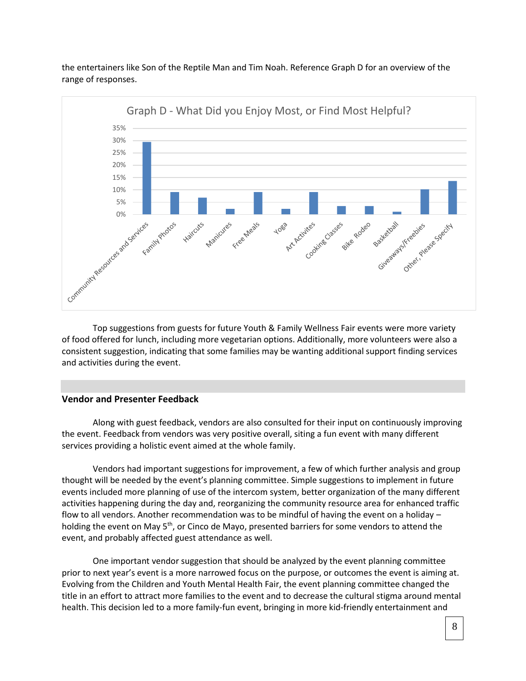the entertainers like Son of the Reptile Man and Tim Noah. Reference Graph D for an overview of the range of responses.



Top suggestions from guests for future Youth & Family Wellness Fair events were more variety of food offered for lunch, including more vegetarian options. Additionally, more volunteers were also a consistent suggestion, indicating that some families may be wanting additional support finding services and activities during the event.

#### **Vendor and Presenter Feedback**

Along with guest feedback, vendors are also consulted for their input on continuously improving the event. Feedback from vendors was very positive overall, siting a fun event with many different services providing a holistic event aimed at the whole family.

Vendors had important suggestions for improvement, a few of which further analysis and group thought will be needed by the event's planning committee. Simple suggestions to implement in future events included more planning of use of the intercom system, better organization of the many different activities happening during the day and, reorganizing the community resource area for enhanced traffic flow to all vendors. Another recommendation was to be mindful of having the event on a holiday – holding the event on May 5<sup>th</sup>, or Cinco de Mayo, presented barriers for some vendors to attend the event, and probably affected guest attendance as well.

One important vendor suggestion that should be analyzed by the event planning committee prior to next year's event is a more narrowed focus on the purpose, or outcomes the event is aiming at. Evolving from the Children and Youth Mental Health Fair, the event planning committee changed the title in an effort to attract more families to the event and to decrease the cultural stigma around mental health. This decision led to a more family-fun event, bringing in more kid-friendly entertainment and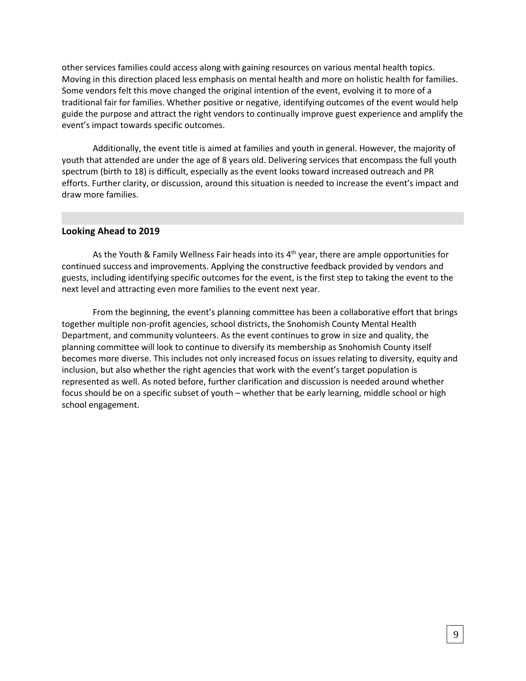other services families could access along with gaining resources on various mental health topics. Moving in this direction placed less emphasis on mental health and more on holistic health for families. Some vendors felt this move changed the original intention of the event, evolving it to more of a traditional fair for families. Whether positive or negative, identifying outcomes of the event would help guide the purpose and attract the right vendors to continually improve guest experience and amplify the event's impact towards specific outcomes.

Additionally, the event title is aimed at families and youth in general. However, the majority of youth that attended are under the age of 8 years old. Delivering services that encompass the full youth spectrum (birth to 18) is difficult, especially as the event looks toward increased outreach and PR efforts. Further clarity, or discussion, around this situation is needed to increase the event's impact and draw more families.

## **Looking Ahead to 2019**

As the Youth & Family Wellness Fair heads into its 4<sup>th</sup> year, there are ample opportunities for continued success and improvements. Applying the constructive feedback provided by vendors and guests, including identifying specific outcomes for the event, is the first step to taking the event to the next level and attracting even more families to the event next year.

From the beginning, the event's planning committee has been a collaborative effort that brings together multiple non-profit agencies, school districts, the Snohomish County Mental Health Department, and community volunteers. As the event continues to grow in size and quality, the planning committee will look to continue to diversify its membership as Snohomish County itself becomes more diverse. This includes not only increased focus on issues relating to diversity, equity and inclusion, but also whether the right agencies that work with the event's target population is represented as well. As noted before, further clarification and discussion is needed around whether focus should be on a specific subset of youth – whether that be early learning, middle school or high school engagement.